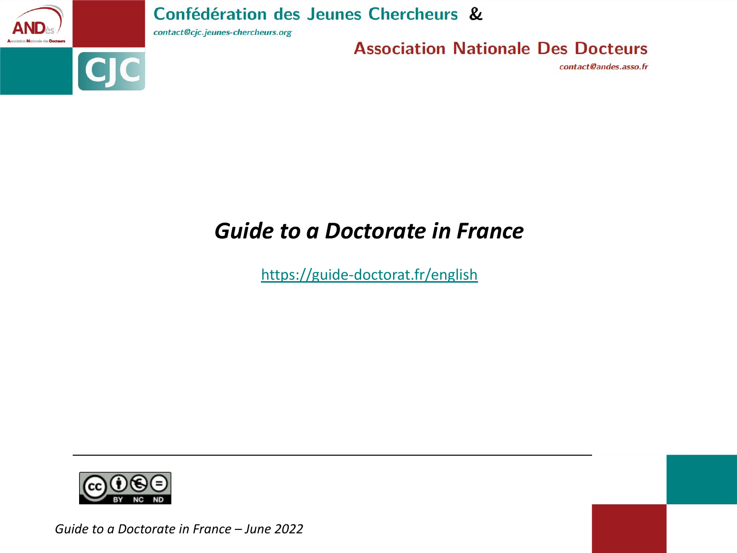

contact@cjc.jeunes-chercheurs.org

**Association Nationale Des Docteurs** 

contact@andes.asso.fr

# *Guide to a Doctorate in France*

<https://guide-doctorat.fr/english>



*Guide to a Doctorate in France – June 2022*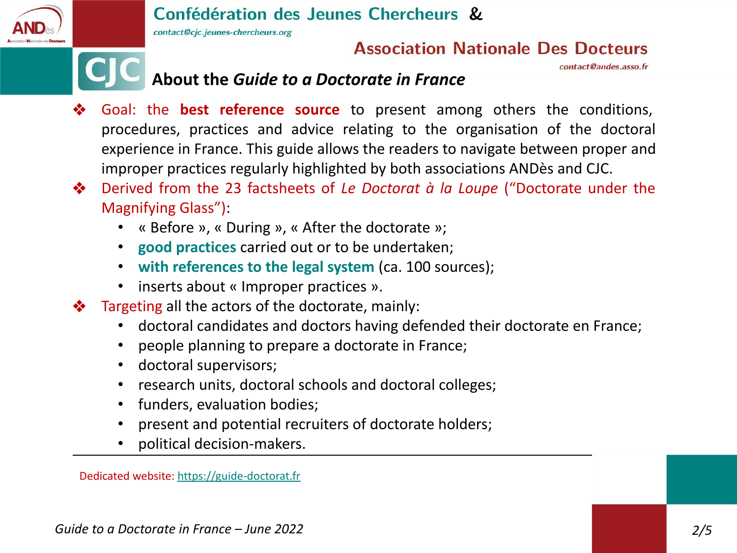

contact@cjc.jeunes-chercheurs.org

## **Association Nationale Des Docteurs**

contact@andes.asso.fr

# **About the** *Guide to a Doctorate in France*

- ❖ Goal: the **best reference source** to present among others the conditions, procedures, practices and advice relating to the organisation of the doctoral experience in France. This guide allows the readers to navigate between proper and improper practices regularly highlighted by both associations ANDès and CJC.
- ❖ Derived from the 23 factsheets of *Le Doctorat à la Loupe* ("Doctorate under the Magnifying Glass"):
	- « Before », « During », « After the doctorate »;
	- **good practices** carried out or to be undertaken;
	- **with references to the legal system** (ca. 100 sources);
	- inserts about « Improper practices ».
- ❖ Targeting all the actors of the doctorate, mainly:
	- doctoral candidates and doctors having defended their doctorate en France;
	- people planning to prepare a doctorate in France;
	- doctoral supervisors;
	- research units, doctoral schools and doctoral colleges;
	- funders, evaluation bodies;
	- present and potential recruiters of doctorate holders;
	- political decision-makers.

Dedicated website: [https://guide-doctorat.fr](https://guide-doctorat.fr/)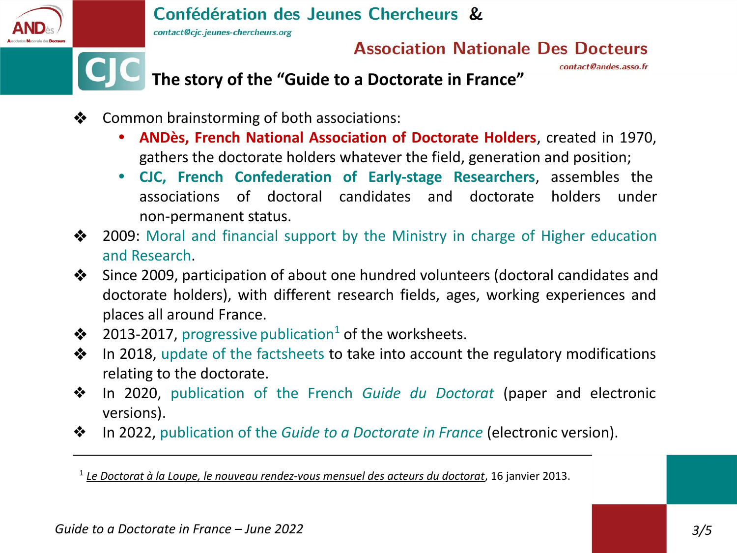

contact@cjc.jeunes-chercheurs.org

# **Association Nationale Des Docteurs**

contact@andes.asso.fr

# **The story of the "Guide to a Doctorate in France"**

- ❖ Common brainstorming of both associations:
	- **• ANDès, French National Association of Doctorate Holders**, created in 1970, gathers the doctorate holders whatever the field, generation and position;
	- **• CJC, French Confederation of Early-stage Researchers**, assembles the associations of doctoral candidates and doctorate holders under non-permanent status.
- ❖ 2009: Moral and financial support by the Ministry in charge of Higher education and Research.
- ❖ Since 2009, participation of about one hundred volunteers (doctoral candidates and doctorate holders), with different research fields, ages, working experiences and places all around France.
- $\triangleleft$  2013-2017, progressive publication<sup>1</sup> of the worksheets.
- ❖ In 2018, update of the factsheets to take into account the regulatory modifications relating to the doctorate.
- ❖ In 2020, publication of the French *Guide du Doctorat* (paper and electronic versions).
- ❖ In 2022, publication of the *Guide to a Doctorate in France* (electronic version).

1 *[Le Doctorat à la Loupe, le nouveau rendez-vous mensuel des acteurs du doctorat](http://andes.asso.free.fr/download/CP-DoctoratALaLoupe.pdf)*, 16 janvier 2013.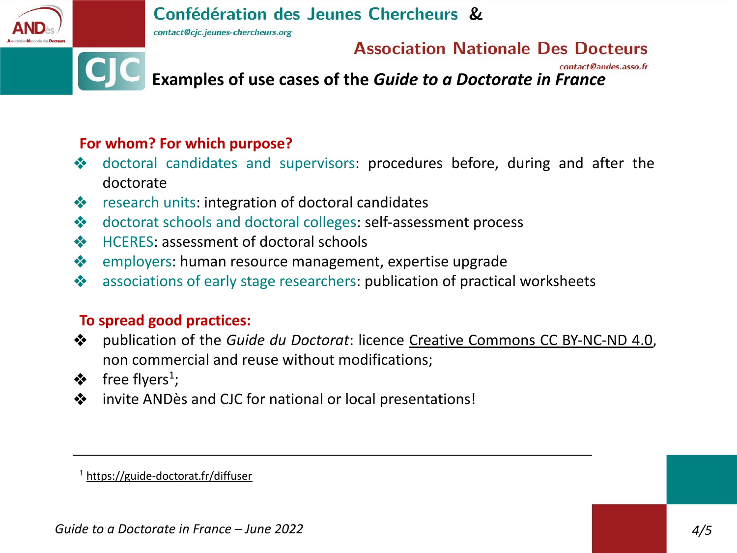contact@cjc.jeunes-chercheurs.org

### **Association Nationale Des Docteurs**

contact@andes.asso.fr

**Examples of use cases of the** *Guide to a Doctorate in France*

### **For whom? For which purpose?**

- ❖ doctoral candidates and supervisors: procedures before, during and after the doctorate
- ❖ research units: integration of doctoral candidates
- ❖ doctorat schools and doctoral colleges: self-assessment process
- ❖ HCERES: assessment of doctoral schools
- ❖ employers: human resource management, expertise upgrade
- ❖ associations of early stage researchers: publication of practical worksheets

### **To spread good practices:**

- ❖ publication of the *Guide du Doctorat*: licence [Creative Commons CC BY-NC-ND 4.0,](http://creativecommons.org/licenses/by-nc-nd/4.0/) non commercial and reuse without modifications;
- $\clubsuit$  free flyers<sup>1</sup>;
- ❖ invite ANDès and CJC for national or local presentations!

<sup>1</sup> <https://guide-doctorat.fr/diffuser>